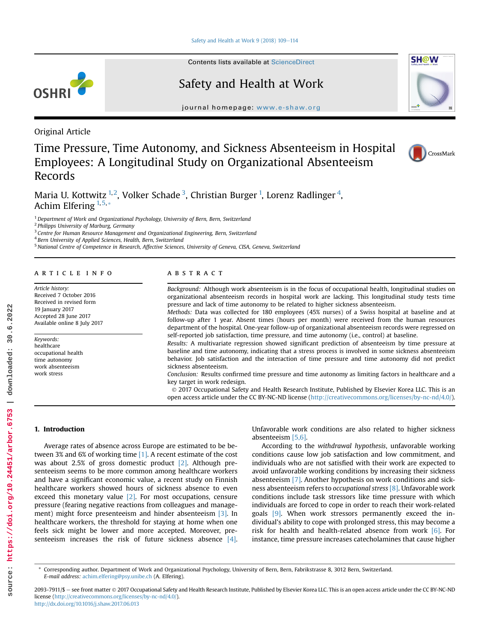Contents lists available at ScienceDirect

# Safety and Health at Work

 $j$  is a share.  $\frac{1}{2}$  is a shawn in the shaw.

Original Article

OSHRI

# Time Pressure, Time Autonomy, and Sickness Absenteeism in Hospital Employees: A Longitudinal Study on Organizational Absenteeism Records



**SH@W** 

Maria U. Kottwitz  $^{1,2}$ , Volker Schade  $^3$ , Christian Burger  $^1$ , Lorenz Radlinger  $^4$ , Achim Elfering  $1,5,*$ 

 $1$  Department of Work and Organizational Psychology, University of Bern, Bern, Switzerland

<sup>2</sup> Philipps University of Marburg, Germany

<sup>3</sup> Centre for Human Resource Management and Organizational Engineering, Bern, Switzerland

<sup>4</sup> Bern University of Applied Sciences, Health, Bern, Switzerland

<sup>5</sup> National Centre of Competence in Research, Affective Sciences, University of Geneva, CISA, Geneva, Switzerland

# article info

Article history: Received 7 October 2016 Received in revised form 19 January 2017 Accepted 28 June 2017 Available online 8 July 2017

Keywords: healthcare occupational health time autonomy work absenteeism work stress

# **ABSTRACT**

Background: Although work absenteeism is in the focus of occupational health, longitudinal studies on organizational absenteeism records in hospital work are lacking. This longitudinal study tests time pressure and lack of time autonomy to be related to higher sickness absenteeism.

Methods: Data was collected for 180 employees (45% nurses) of a Swiss hospital at baseline and at follow-up after 1 year. Absent times (hours per month) were received from the human resources department of the hospital. One-year follow-up of organizational absenteeism records were regressed on self-reported job satisfaction, time pressure, and time autonomy (i.e., control) at baseline.

Results: A multivariate regression showed significant prediction of absenteeism by time pressure at baseline and time autonomy, indicating that a stress process is involved in some sickness absenteeism behavior. Job satisfaction and the interaction of time pressure and time autonomy did not predict sickness absenteeism.

Conclusion: Results confirmed time pressure and time autonomy as limiting factors in healthcare and a key target in work redesign.

 2017 Occupational Safety and Health Research Institute, Published by Elsevier Korea LLC. This is an open access article under the CC BY-NC-ND license [\(http://creativecommons.org/licenses/by-nc-nd/4.0/](http://creativecommons.org/licenses/by-nc-nd/4.0/)).

#### 1. Introduction

Average rates of absence across Europe are estimated to be between 3% and 6% of working time [1]. A recent estimate of the cost was about 2.5% of gross domestic product [2]. Although presenteeism seems to be more common among healthcare workers and have a significant economic value, a recent study on Finnish healthcare workers showed hours of sickness absence to even exceed this monetary value  $[2]$ . For most occupations, censure pressure (fearing negative reactions from colleagues and management) might force presenteeism and hinder absenteeism [3]. In healthcare workers, the threshold for staying at home when one feels sick might be lower and more accepted. Moreover, presenteeism increases the risk of future sickness absence [4].

Unfavorable work conditions are also related to higher sickness absenteeism [5,6].

According to the withdrawal hypothesis, unfavorable working conditions cause low job satisfaction and low commitment, and individuals who are not satisfied with their work are expected to avoid unfavorable working conditions by increasing their sickness absenteeism [7]. Another hypothesis on work conditions and sickness absenteeism refers to occupational stress [8]. Unfavorable work conditions include task stressors like time pressure with which individuals are forced to cope in order to reach their work-related goals [9]. When work stressors permanently exceed the individual's ability to cope with prolonged stress, this may become a risk for health and health-related absence from work [6]. For instance, time pressure increases catecholamines that cause higher

\* Corresponding author. Department of Work and Organizational Psychology, University of Bern, Bern, Fabrikstrasse 8, 3012 Bern, Switzerland. E-mail address: [achim.elfering@psy.unibe.ch](mailto:achim.elfering@psy.unibe.ch) (A. Elfering).

2093-7911/\$ - see front matter @ 2017 Occupational Safety and Health Research Institute, Published by Elsevier Korea LLC. This is an open access article under the CC BY-NC-ND license [\(http://creativecommons.org/licenses/by-nc-nd/4.0/](http://creativecommons.org/licenses/by-nc-nd/4.0/)). <http://dx.doi.org/10.1016/j.shaw.2017.06.013>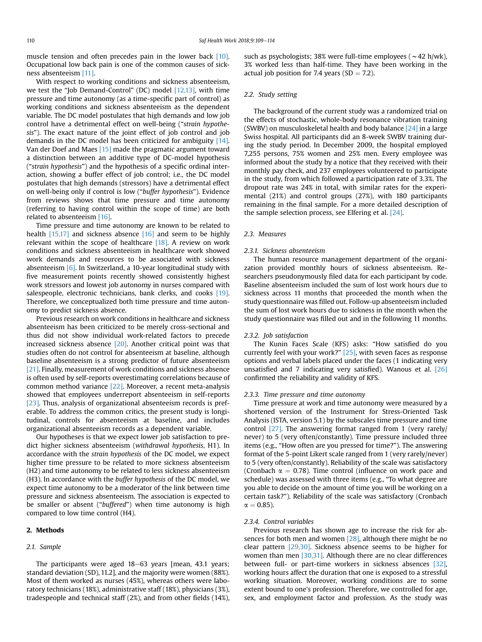muscle tension and often precedes pain in the lower back [10]. Occupational low back pain is one of the common causes of sickness absenteeism [11].

With respect to working conditions and sickness absenteeism, we test the "Job Demand-Control" (DC) model [12,13], with time pressure and time autonomy (as a time-specific part of control) as working conditions and sickness absenteeism as the dependent variable. The DC model postulates that high demands and low job control have a detrimental effect on well-being ("strain hypothesis"). The exact nature of the joint effect of job control and job demands in the DC model has been criticized for ambiguity [14]. Van der Doef and Maes [15] made the pragmatic argument toward a distinction between an additive type of DC-model hypothesis ("strain hypothesis") and the hypothesis of a specific ordinal interaction, showing a buffer effect of job control; i.e., the DC model postulates that high demands (stressors) have a detrimental effect on well-being only if control is low ("buffer hypothesis"). Evidence from reviews shows that time pressure and time autonomy (referring to having control within the scope of time) are both related to absenteeism [16].

Time pressure and time autonomy are known to be related to health  $[15,17]$  and sickness absence  $[16]$  and seem to be highly relevant within the scope of healthcare [18]. A review on work conditions and sickness absenteeism in healthcare work showed work demands and resources to be associated with sickness absenteeism [6]. In Switzerland, a 10-year longitudinal study with five measurement points recently showed consistently highest work stressors and lowest job autonomy in nurses compared with salespeople, electronic technicians, bank clerks, and cooks [19]. Therefore, we conceptualized both time pressure and time autonomy to predict sickness absence.

Previous research on work conditions in healthcare and sickness absenteeism has been criticized to be merely cross-sectional and thus did not show individual work-related factors to precede increased sickness absence  $[20]$ . Another critical point was that studies often do not control for absenteeism at baseline, although baseline absenteeism is a strong predictor of future absenteeism [21]. Finally, measurement of work conditions and sickness absence is often used by self-reports overestimating correlations because of common method variance [22]. Moreover, a recent meta-analysis showed that employees underreport absenteeism in self-reports [23]. Thus, analysis of organizational absenteeism records is preferable. To address the common critics, the present study is longitudinal, controls for absenteeism at baseline, and includes organizational absenteeism records as a dependent variable.

Our hypotheses is that we expect lower job satisfaction to predict higher sickness absenteeism (withdrawal hypothesis, H1). In accordance with the strain hypothesis of the DC model, we expect higher time pressure to be related to more sickness absenteeism (H2) and time autonomy to be related to less sickness absenteeism (H3). In accordance with the buffer hypothesis of the DC model, we expect time autonomy to be a moderator of the link between time pressure and sickness absenteeism. The association is expected to be smaller or absent ("buffered") when time autonomy is high compared to low time control (H4).

## 2. Methods

#### 2.1. Sample

The participants were aged  $18-63$  years [mean, 43.1 years; standard deviation (SD), 11.2], and the majority were women (88%). Most of them worked as nurses (45%), whereas others were laboratory technicians (18%), administrative staff (18%), physicians (3%), tradespeople and technical staff (2%), and from other fields (14%), such as psychologists; 38% were full-time employees ( $\sim$  42 h/wk), 3% worked less than half-time. They have been working in the actual job position for 7.4 years ( $SD = 7.2$ ).

## 2.2. Study setting

The background of the current study was a randomized trial on the effects of stochastic, whole-body resonance vibration training (SWBV) on musculoskeletal health and body balance  $[24]$  in a large Swiss hospital. All participants did an 8-week SWBV training during the study period. In December 2009, the hospital employed 7,255 persons, 75% women and 25% men. Every employee was informed about the study by a notice that they received with their monthly pay check, and 237 employees volunteered to participate in the study, from which followed a participation rate of 3.3%. The dropout rate was 24% in total, with similar rates for the experimental (21%) and control groups (27%), with 180 participants remaining in the final sample. For a more detailed description of the sample selection process, see Elfering et al. [24].

# 2.3. Measures

#### 2.3.1. Sickness absenteeism

The human resource management department of the organization provided monthly hours of sickness absenteeism. Researchers pseudonymously filed data for each participant by code. Baseline absenteeism included the sum of lost work hours due to sickness across 11 months that proceeded the month when the study questionnaire was filled out. Follow-up absenteeism included the sum of lost work hours due to sickness in the month when the study questionnaire was filled out and in the following 11 months.

#### 2.3.2. Job satisfaction

The Kunin Faces Scale (KFS) asks: "How satisfied do you currently feel with your work?" [25], with seven faces as response options and verbal labels placed under the faces (1 indicating very unsatisfied and 7 indicating very satisfied). Wanous et al. [26] confirmed the reliability and validity of KFS.

#### 2.3.3. Time pressure and time autonomy

Time pressure at work and time autonomy were measured by a shortened version of the Instrument for Stress-Oriented Task Analysis (ISTA, version 5.1) by the subscales time pressure and time control [27]. The answering format ranged from 1 (very rarely/ never) to 5 (very often/constantly). Time pressure included three items (e.g., "How often are you pressed for time?"). The answering format of the 5-point Likert scale ranged from 1 (very rarely/never) to 5 (very often/constantly). Reliability of the scale was satisfactory (Cronbach  $\alpha = 0.78$ ). Time control (influence on work pace and schedule) was assessed with three items (e.g., "To what degree are you able to decide on the amount of time you will be working on a certain task?"). Reliability of the scale was satisfactory (Cronbach  $\alpha = 0.85$ ).

### 2.3.4. Control variables

Previous research has shown age to increase the risk for absences for both men and women [28], although there might be no clear pattern [29,30]. Sickness absence seems to be higher for women than men [30,31]. Although there are no clear differences between full- or part-time workers in sickness absences [32], working hours affect the duration that one is exposed to a stressful working situation. Moreover, working conditions are to some extent bound to one's profession. Therefore, we controlled for age, sex, and employment factor and profession. As the study was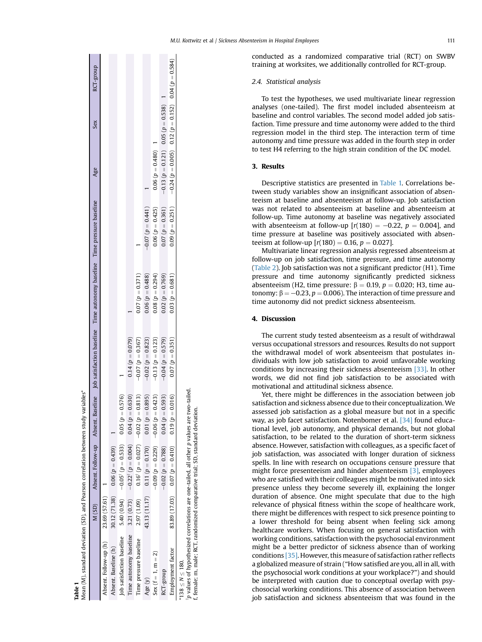| Mean (M), standard deviation (SD), and Pearson correlation between study variables*                                   |               |                                                                  |                    |                     |                                                                                                                 |                    |                                            |                                                          |
|-----------------------------------------------------------------------------------------------------------------------|---------------|------------------------------------------------------------------|--------------------|---------------------|-----------------------------------------------------------------------------------------------------------------|--------------------|--------------------------------------------|----------------------------------------------------------|
|                                                                                                                       |               |                                                                  |                    |                     | M (SD) Absent Follow-up Absent Baseline Job satisfaction baseline Time autonomy baseline Time pressure baseline |                    | Age                                        | RCT-group<br>Sex                                         |
| Absent. Follow-up (h) 23.69 (57.61)                                                                                   |               |                                                                  |                    |                     |                                                                                                                 |                    |                                            |                                                          |
| Absent. Baseline (h)                                                                                                  | 30.12(71.38)  | $0.06 (p = 0.439)$                                               |                    |                     |                                                                                                                 |                    |                                            |                                                          |
| Job satisfaction baseline                                                                                             |               | $5.40(0.94)$ $-0.05^{\dagger}$ ( $p = 0.533$ ) $0.05(p = 0.576)$ |                    |                     |                                                                                                                 |                    |                                            |                                                          |
| Time autonomy baseline 3.21 (0.73) $-0.22^{\dagger}$ ( $p = 0.004$ ) $0.04$ ( $p = 0.630$ )                           |               |                                                                  |                    | $0.14 (p = 0.079)$  |                                                                                                                 |                    |                                            |                                                          |
| Time pressure baseline                                                                                                | 2.97 (1.09)   | $0.16^{\dagger} (p = 0.027)$ -0.02 ( $p = 0.813$ )               |                    | $-0.07(p = 0.367)$  | $0.07 (p = 0.371)$                                                                                              |                    |                                            |                                                          |
| Age (y)                                                                                                               | 43.13 (11.17) | 0.11 $(p = 0.170)$ 0.01 $(p = 0.895)$                            |                    | $-0.02 (p = 0.823)$ | $0.06 (p = 0.488)$                                                                                              | $-0.07(p = 0.441)$ |                                            |                                                          |
| Sex $(f = 1, m = 2)$                                                                                                  |               | $-0.09(p = 0.229)$ $-0.06(p = 0.423)$                            |                    | $-0.13(p = 0.123)$  | $0.08 (p = 0.294)$                                                                                              | $0.06 (p = 0.425)$ | $0.06 (p = 0.480)$ 1                       |                                                          |
| RCT-group                                                                                                             |               | $-0.02~(p = 0.788)$                                              | $0.04 (p = 0.593)$ | $-0.04(p = 0.579)$  | $0.02 (p = 0.769)$                                                                                              | $0.07 (p = 0.361)$ | $-0.13 (p = 0.121)$ 0.05 ( $p = 0.538$ ) 1 |                                                          |
| Employment factor                                                                                                     |               | $(31.03)$ $(17.03)$ $(0.07(p = 0.410)$ $(0.19(p = 0.016))$       |                    | $0.07 (p = 0.351)$  | $0.03 (p = 0.681)$                                                                                              | $0.09 (p = 0.251)$ |                                            | $-0.24(p = 0.005)$ 0.12 $(p = 0.152)$ 0.04 $(p = 0.584)$ |
| "p values of hypothesized correlations are one-tailed. all other p values are two-tailed.<br>*138 $\leq N \leq 180$ . |               |                                                                  |                    |                     |                                                                                                                 |                    |                                            |                                                          |

p values of hypothesized correlations are one-tailed, all other p values are two-tailed. values are twof, female; m, male; RCT, randomized comparative trial; SD, standard deviation. female: m. male: RCT. randomized comparative trial: SD. standard deviation  $\overline{a}$ other 금 ₫, are one-tail relations esized cor of hypotl

M.U. Kottwitz et al / Sickness Absenteeism in Hospital Employees 111

conducted as a randomized comparative trial (RCT) on SWBV training at worksites, we additionally controlled for RCT-group.

# 2.4. Statistical analysis

To test the hypotheses, we used multivariate linear regression analyses (one-tailed). The first model included absenteeism at baseline and control variables. The second model added job satisfaction. Time pressure and time autonomy were added to the third regression model in the third step. The interaction term of time autonomy and time pressure was added in the fourth step in order to test H4 referring to the high strain condition of the DC model.

# 3. Results

Descriptive statistics are presented in Table 1. Correlations between study variables show an insignificant association of absenteeism at baseline and absenteeism at follow-up. Job satisfaction was not related to absenteeism at baseline and absenteeism at follow-up. Time autonomy at baseline was negatively associated with absenteeism at follow-up  $[r(180) = -0.22, p = 0.004]$ , and time pressure at baseline was positively associated with absenteeism at follow-up  $[r(180) = 0.16, p = 0.027]$ .

Multivariate linear regression analysis regressed absenteeism at follow-up on job satisfaction, time pressure, and time autonomy (Table 2). Job satisfaction was not a significant predictor (H1). Time pressure and time autonomy significantly predicted sickness absenteeism (H2, time pressure:  $\beta = 0.19$ ,  $p = 0.020$ ; H3, time autonomy:  $\beta = -0.23$ ,  $p = 0.006$ ). The interaction of time pressure and time autonomy did not predict sickness absenteeism.

## 4. Discussion

The current study tested absenteeism as a result of withdrawal versus occupational stressors and resources. Results do not support the withdrawal model of work absenteeism that postulates individuals with low job satisfaction to avoid unfavorable working conditions by increasing their sickness absenteeism [33]. In other words, we did not find job satisfaction to be associated with motivational and attitudinal sickness absence.

Yet, there might be differences in the association between job satisfaction and sickness absence due to their conceptualization. We assessed job satisfaction as a global measure but not in a specific way, as job facet satisfaction. Notenbomer et al. [34] found educational level, job autonomy, and physical demands, but not global satisfaction, to be related to the duration of short-term sickness absence. However, satisfaction with colleagues, as a specific facet of job satisfaction, was associated with longer duration of sickness spells. In line with research on occupations censure pressure that might force presenteeism and hinder absenteeism [3], employees who are satisfied with their colleagues might be motivated into sick presence unless they become severely ill, explaining the longer duration of absence. One might speculate that due to the high relevance of physical fitness within the scope of healthcare work, there might be differences with respect to sick presence pointing to a lower threshold for being absent when feeling sick among healthcare workers. When focusing on general satisfaction with working conditions, satisfaction with the psychosocial environment might be a better predictor of sickness absence than of working conditions [35]. However, this measure of satisfaction rather reflects a globalized measure of strain ("How satisfied are you, all in all, with the psychosocial work conditions at your workplace?") and should be interpreted with caution due to conceptual overlap with psychosocial working conditions. This absence of association between job satisfaction and sickness absenteeism that was found in the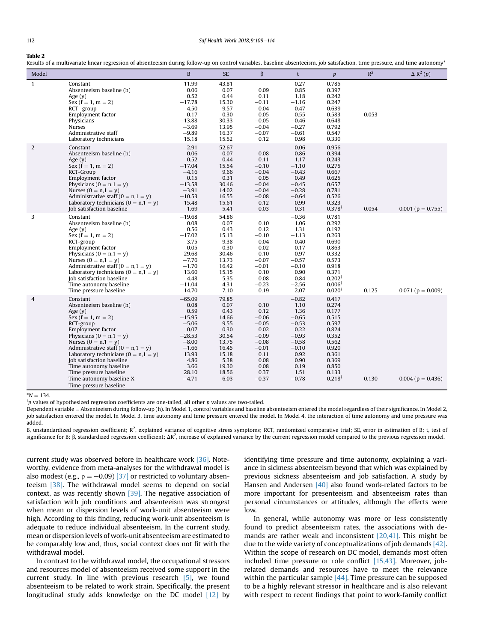## 112 Saf Health Work 2018:9:109–114

#### Table 2

Results of a multivariate linear regression of absenteeism during follow-up on control variables, baseline absenteeism, job satisfaction, time pressure, and time autonomy

| Model          |                                                                                                                                                                                                                                                                                                                                                                                                        | B                                                                                                                                      | <b>SE</b>                                                                                                            | $\beta$                                                                                                                | t                                                                                                                                 | p                                                                                                                                                        | $R^2$ | $\Delta$ R <sup>2</sup> (p) |
|----------------|--------------------------------------------------------------------------------------------------------------------------------------------------------------------------------------------------------------------------------------------------------------------------------------------------------------------------------------------------------------------------------------------------------|----------------------------------------------------------------------------------------------------------------------------------------|----------------------------------------------------------------------------------------------------------------------|------------------------------------------------------------------------------------------------------------------------|-----------------------------------------------------------------------------------------------------------------------------------|----------------------------------------------------------------------------------------------------------------------------------------------------------|-------|-----------------------------|
| $\mathbf{1}$   | Constant<br>Absenteeism baseline (h)<br>Age $(y)$<br>Sex $(f = 1, m = 2)$<br>RCT–group<br>Employment factor<br>Physicians<br>Nurses<br>Administrative staff<br>Laboratory technicians                                                                                                                                                                                                                  | 11.99<br>0.06<br>0.52<br>$-17.78$<br>$-4.50$<br>0.17<br>$-13.88$<br>$-3.69$<br>$-9.89$<br>15.18                                        | 43.81<br>0.07<br>0.44<br>15.30<br>9.57<br>0.30<br>30.33<br>13.95<br>16.37<br>15.52                                   | 0.09<br>0.11<br>$-0.11$<br>$-0.04$<br>0.05<br>$-0.05$<br>$-0.04$<br>$-0.07$<br>0.12                                    | 0.27<br>0.85<br>1.18<br>$-1.16$<br>$-0.47$<br>0.55<br>$-0.46$<br>$-0.27$<br>$-0.61$<br>0.98                                       | 0.785<br>0.397<br>0.242<br>0.247<br>0.639<br>0.583<br>0.648<br>0.792<br>0.547<br>0.330                                                                   | 0.053 |                             |
| $\overline{2}$ | Constant<br>Absenteeism baseline (h)<br>Age $(y)$<br>$Sex (f = 1, m = 2)$<br>RCT-Group<br>Employment factor<br>Physicians ( $0 = n, 1 = v$ )<br>Nurses $(0 = n, 1 = v)$<br>Administrative staff $(0 = n, 1 = y)$<br>Laboratory technicians ( $0 = n, 1 = v$ )<br>Job satisfaction baseline                                                                                                             | 2.91<br>0.06<br>0.52<br>$-17.04$<br>$-4.16$<br>0.15<br>$-13.58$<br>$-3.91$<br>$-10.53$<br>15.48<br>1.69                                | 52.67<br>0.07<br>0.44<br>15.54<br>9.66<br>0.31<br>30.46<br>14.02<br>16.55<br>15.61<br>5.41                           | 0.08<br>0.11<br>$-0.10$<br>$-0.04$<br>0.05<br>$-0.04$<br>$-0.04$<br>$-0.08$<br>0.12<br>0.03                            | 0.06<br>0.86<br>1.17<br>$-1.10$<br>$-0.43$<br>0.49<br>$-0.45$<br>$-0.28$<br>$-0.64$<br>0.99<br>0.31                               | 0.956<br>0.394<br>0.243<br>0.275<br>0.667<br>0.625<br>0.657<br>0.781<br>0.526<br>0.323<br>$0.378$ <sup>†</sup>                                           | 0.054 | 0.001 ( $p = 0.755$ )       |
| 3              | Constant<br>Absenteeism baseline (h)<br>Age $(y)$<br>Sex $(f = 1, m = 2)$<br>RCT-group<br>Employment factor<br>Physicians ( $0 = n, 1 = v$ )<br>Nurses ( $0 = n, 1 = v$ )<br>Administrative staff ( $0 = n, 1 = y$ )<br>Laboratory technicians ( $0 = n, 1 = v$ )<br>Job satisfaction baseline<br>Time autonomy baseline<br>Time pressure baseline                                                     | $-19.68$<br>0.08<br>0.56<br>$-17.02$<br>$-3.75$<br>0.05<br>$-29.68$<br>$-7.76$<br>$-1.70$<br>13.60<br>4.48<br>$-11.04$<br>14.70        | 54.86<br>0.07<br>0.43<br>15.13<br>9.38<br>0.30<br>30.46<br>13.73<br>16.42<br>15.15<br>5.35<br>4.31<br>7.10           | 0.10<br>0.12<br>$-0.10$<br>$-0.04$<br>0.02<br>$-0.10$<br>$-0.07$<br>$-0.01$<br>0.10<br>0.08<br>$-0.23$<br>0.19         | $-0.36$<br>1.06<br>1.31<br>$-1.13$<br>$-0.40$<br>0.17<br>$-0.97$<br>$-0.57$<br>$-0.10$<br>0.90<br>0.84<br>$-2.56$<br>2.07         | 0.781<br>0.292<br>0.192<br>0.263<br>0.690<br>0.863<br>0.332<br>0.573<br>0.918<br>0.371<br>$0.202^{\dagger}$<br>$0.006^{\dagger}$<br>$0.020$ <sup>T</sup> | 0.125 | $0.071$ ( $p = 0.009$ )     |
| $\overline{4}$ | Constant<br>Absenteeism baseline (h)<br>Age $(y)$<br>Sex $(f = 1, m = 2)$<br>RCT-group<br>Employment factor<br>Physicians ( $0 = n, 1 = y$ )<br>Nurses $(0 = n, 1 = v)$<br>Administrative staff ( $0 = n, 1 = y$ )<br>Laboratory technicians ( $0 = n, 1 = v$ )<br>Job satisfaction baseline<br>Time autonomy baseline<br>Time pressure baseline<br>Time autonomy baseline X<br>Time pressure baseline | $-65.09$<br>0.08<br>0.59<br>$-15.95$<br>$-5.06$<br>0.07<br>$-28.53$<br>$-8.00$<br>$-1.66$<br>13.93<br>4.86<br>3.66<br>28.10<br>$-4.71$ | 79.85<br>0.07<br>0.43<br>14.66<br>9.55<br>0.30<br>30.54<br>13.75<br>16.45<br>15.18<br>5.38<br>19.30<br>18.56<br>6.03 | 0.10<br>0.12<br>$-0.06$<br>$-0.05$<br>0.02<br>$-0.09$<br>$-0.08$<br>$-0.01$<br>0.11<br>0.08<br>0.08<br>0.37<br>$-0.37$ | $-0.82$<br>1.10<br>1.36<br>$-0.65$<br>$-0.53$<br>0.22<br>$-0.93$<br>$-0.58$<br>$-0.10$<br>0.92<br>0.90<br>0.19<br>1.51<br>$-0.78$ | 0.417<br>0.274<br>0.177<br>0.515<br>0.597<br>0.824<br>0.352<br>0.562<br>0.920<br>0.361<br>0.369<br>0.850<br>0.133<br>$0.218^{\dagger}$                   | 0.130 | 0.004 ( $p = 0.436$ )       |

 $^*{\rm N}=134.$ <br> $^{\rm i}p$  values of hypothesized regression coefficients are one-tailed, all other  $p$  values are two-tailed.

Dependent variable = Absenteeism during follow-up (h). In Model 1, control variables and baseline absenteeism entered the model regardless of their significance. In Model 2, job satisfaction entered the model. In Model 3, time autonomy and time pressure entered the model. In Model 4, the interaction of time autonomy and time pressure was added.

B, unstandardized regression coefficient;  $R^2$ , explained variance of cognitive stress symptoms; RCT, randomized comparative trial; SE, error in estimation of B; t, test of significance for B;  $\beta$ , standardized regression coefficient;  $\Delta R^2$ , increase of explained variance by the current regression model compared to the previous regression model.

current study was observed before in healthcare work [36]. Noteworthy, evidence from meta-analyses for the withdrawal model is also modest (e.g.,  $\rho = -0.09$ ) [37] or restricted to voluntary absenteeism [38]. The withdrawal model seems to depend on social context, as was recently shown [39]. The negative association of satisfaction with job conditions and absenteeism was strongest when mean or dispersion levels of work-unit absenteeism were high. According to this finding, reducing work-unit absenteeism is adequate to reduce individual absenteeism. In the current study, mean or dispersion levels of work-unit absenteeism are estimated to be comparably low and, thus, social context does not fit with the withdrawal model.

In contrast to the withdrawal model, the occupational stressors and resources model of absenteeism received some support in the current study. In line with previous research [5], we found absenteeism to be related to work strain. Specifically, the present longitudinal study adds knowledge on the DC model [12] by identifying time pressure and time autonomy, explaining a variance in sickness absenteeism beyond that which was explained by previous sickness absenteeism and job satisfaction. A study by Hansen and Andersen [40] also found work-related factors to be more important for presenteeism and absenteeism rates than personal circumstances or attitudes, although the effects were low.

In general, while autonomy was more or less consistently found to predict absenteeism rates, the associations with demands are rather weak and inconsistent [20,41]. This might be due to the wide variety of conceptualizations of job demands [42]. Within the scope of research on DC model, demands most often included time pressure or role conflict [15,43]. Moreover, jobrelated demands and resources have to meet the relevance within the particular sample  $[44]$ . Time pressure can be supposed to be a highly relevant stressor in healthcare and is also relevant with respect to recent findings that point to work-family conflict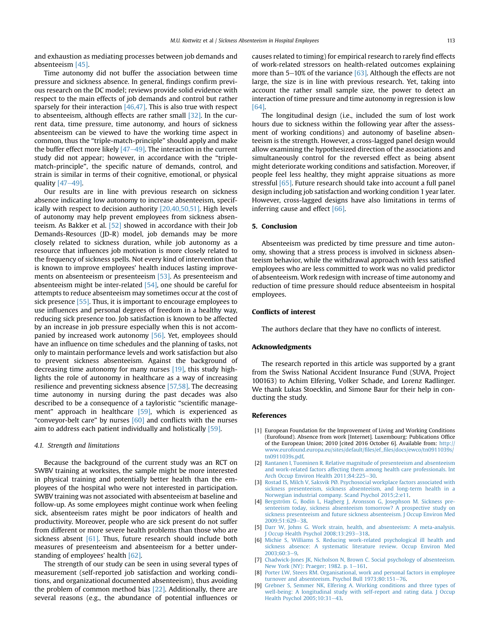and exhaustion as mediating processes between job demands and absenteeism [45].

Time autonomy did not buffer the association between time pressure and sickness absence. In general, findings confirm previous research on the DC model; reviews provide solid evidence with respect to the main effects of job demands and control but rather sparsely for their interaction  $[46,47]$ . This is also true with respect to absenteeism, although effects are rather small [32]. In the current data, time pressure, time autonomy, and hours of sickness absenteeism can be viewed to have the working time aspect in common, thus the "triple-match-principle" should apply and make the buffer effect more likely  $[47-49]$ . The interaction in the current study did not appear; however, in accordance with the "triplematch-principle", the specific nature of demands, control, and strain is similar in terms of their cognitive, emotional, or physical quality  $[47-49]$ .

Our results are in line with previous research on sickness absence indicating low autonomy to increase absenteeism, specifically with respect to decision authority [20,40,50,51]. High levels of autonomy may help prevent employees from sickness absenteeism. As Bakker et al. [52] showed in accordance with their Job Demands-Resources (JD-R) model, job demands may be more closely related to sickness duration, while job autonomy as a resource that influences job motivation is more closely related to the frequency of sickness spells. Not every kind of intervention that is known to improve employees' health induces lasting improvements on absenteeism or presenteeism [53]. As presenteeism and absenteeism might be inter-related [54], one should be careful for attempts to reduce absenteeism may sometimes occur at the cost of sick presence [55]. Thus, it is important to encourage employees to use influences and personal degrees of freedom in a healthy way, reducing sick presence too. Job satisfaction is known to be affected by an increase in job pressure especially when this is not accompanied by increased work autonomy [56]. Yet, employees should have an influence on time schedules and the planning of tasks, not only to maintain performance levels and work satisfaction but also to prevent sickness absenteeism. Against the background of decreasing time autonomy for many nurses [19], this study highlights the role of autonomy in healthcare as a way of increasing resilience and preventing sickness absence [57,58]. The decreasing time autonomy in nursing during the past decades was also described to be a consequence of a tayloristic "scientific management" approach in healthcare [59], which is experienced as "conveyor-belt care" by nurses  $[60]$  and conflicts with the nurses aim to address each patient individually and holistically [59].

#### 4.1. Strength and limitations

Because the background of the current study was an RCT on SWBV training at worksites, the sample might be more interested in physical training and potentially better health than the employees of the hospital who were not interested in participation. SWBV training was not associated with absenteeism at baseline and follow-up. As some employees might continue work when feeling sick, absenteeism rates might be poor indicators of health and productivity. Moreover, people who are sick present do not suffer from different or more severe health problems than those who are sickness absent  $[61]$ . Thus, future research should include both measures of presenteeism and absenteeism for a better understanding of employees' health [62].

The strength of our study can be seen in using several types of measurement (self-reported job satisfaction and working conditions, and organizational documented absenteeism), thus avoiding the problem of common method bias [22]. Additionally, there are several reasons (e.g., the abundance of potential influences or

causes related to timing) for empirical research to rarely find effects of work-related stressors on health-related outcomes explaining more than  $5-10\%$  of the variance [63]. Although the effects are not large, the size is in line with previous research. Yet, taking into account the rather small sample size, the power to detect an interaction of time pressure and time autonomy in regression is low [64].

The longitudinal design (i.e., included the sum of lost work hours due to sickness within the following year after the assessment of working conditions) and autonomy of baseline absenteeism is the strength. However, a cross-lagged panel design would allow examining the hypothesized direction of the associations and simultaneously control for the reversed effect as being absent might deteriorate working conditions and satisfaction. Moreover, if people feel less healthy, they might appraise situations as more stressful [65]. Future research should take into account a full panel design including job satisfaction and working condition 1 year later. However, cross-lagged designs have also limitations in terms of inferring cause and effect [66].

## 5. Conclusion

Absenteeism was predicted by time pressure and time autonomy, showing that a stress process is involved in sickness absenteeism behavior, while the withdrawal approach with less satisfied employees who are less committed to work was no valid predictor of absenteeism. Work redesign with increase of time autonomy and reduction of time pressure should reduce absenteeism in hospital employees.

## Conflicts of interest

The authors declare that they have no conflicts of interest.

### Acknowledgments

The research reported in this article was supported by a grant from the Swiss National Accident Insurance Fund (SUVA, Project 100163) to Achim Elfering, Volker Schade, and Lorenz Radlinger. We thank Lukas Stoecklin, and Simone Baur for their help in conducting the study.

#### References

- [1] European Foundation for the Improvement of Living and Working Conditions (Eurofound). Absence from work [Internet]. Luxembourg: Publications Office of the European Union; 2010 [cited 2016 October 6]. Available from: [http://](http://www.eurofound.europa.eu/sites/default/files/ef_files/docs/ewco/tn0911039s/tn0911039s.pdf) [www.eurofound.europa.eu/sites/default/](http://www.eurofound.europa.eu/sites/default/files/ef_files/docs/ewco/tn0911039s/tn0911039s.pdf)files/ef\_files/docs/ewco/tn0911039s/ [tn0911039s.pdf.](http://www.eurofound.europa.eu/sites/default/files/ef_files/docs/ewco/tn0911039s/tn0911039s.pdf)
- [2] [Rantanen I, Tuominen R. Relative magnitude of presenteeism and absenteeism](http://refhub.elsevier.com/S2093-7911(16)30205-0/sref2) [and work-related factors affecting them among health care professionals. Int](http://refhub.elsevier.com/S2093-7911(16)30205-0/sref2) Arch Occup Environ Health 2011:84:225-[30](http://refhub.elsevier.com/S2093-7911(16)30205-0/sref2).
- [3] [Rostad IS, Milch V, Saksvik PØ. Psychosocial workplace factors associated with](http://refhub.elsevier.com/S2093-7911(16)30205-0/sref3) [sickness presenteeism, sickness absenteeism, and long-term health in a](http://refhub.elsevier.com/S2093-7911(16)30205-0/sref3) [Norwegian industrial company. Scand Psychol 2015;2:e11.](http://refhub.elsevier.com/S2093-7911(16)30205-0/sref3)
- [4] [Bergström G, Bodin L, Hagberg J, Aronsson G, Josephson M. Sickness pre](http://refhub.elsevier.com/S2093-7911(16)30205-0/sref4)[senteeism today, sickness absenteeism tomorrow? A prospective study on](http://refhub.elsevier.com/S2093-7911(16)30205-0/sref4) [sickness presenteeism and future sickness absenteeism. J Occup Environ Med](http://refhub.elsevier.com/S2093-7911(16)30205-0/sref4) [2009;51:629](http://refhub.elsevier.com/S2093-7911(16)30205-0/sref4)-[38.](http://refhub.elsevier.com/S2093-7911(16)30205-0/sref4)
- [5] [Darr W, Johns G. Work strain, health, and absenteeism: A meta-analysis.](http://refhub.elsevier.com/S2093-7911(16)30205-0/sref5) [J Occup Health Psychol 2008;13:293](http://refhub.elsevier.com/S2093-7911(16)30205-0/sref5)-[318](http://refhub.elsevier.com/S2093-7911(16)30205-0/sref5).
- [6] [Michie S, Williams S. Reducing work-related psychological ill health and](http://refhub.elsevier.com/S2093-7911(16)30205-0/sref6) [sickness absence: A systematic literature review. Occup Environ Med](http://refhub.elsevier.com/S2093-7911(16)30205-0/sref6)  $2003:60:3-9.$  $2003:60:3-9.$  $2003:60:3-9.$
- [7] [Chadwick-Jones JK, Nicholson N, Brown C. Social psychology of absenteeism.](http://refhub.elsevier.com/S2093-7911(16)30205-0/sref7) [New York \(NY\): Praeger; 1982. p. 1](http://refhub.elsevier.com/S2093-7911(16)30205-0/sref7)-[161](http://refhub.elsevier.com/S2093-7911(16)30205-0/sref7).
- [8] [Porter LW, Steers RM. Organisational, work and personal factors in employee](http://refhub.elsevier.com/S2093-7911(16)30205-0/sref8) [turnover and absenteeism. Psychol Bull 1973;80:151](http://refhub.elsevier.com/S2093-7911(16)30205-0/sref8)-[76.](http://refhub.elsevier.com/S2093-7911(16)30205-0/sref8)
- [9] [Grebner S, Semmer NK, Elfering A. Working conditions and three types of](http://refhub.elsevier.com/S2093-7911(16)30205-0/sref9) [well-being: A longitudinal study with self-report and rating data. J Occup](http://refhub.elsevier.com/S2093-7911(16)30205-0/sref9) [Health Psychol 2005;10:31](http://refhub.elsevier.com/S2093-7911(16)30205-0/sref9)-[43](http://refhub.elsevier.com/S2093-7911(16)30205-0/sref9).